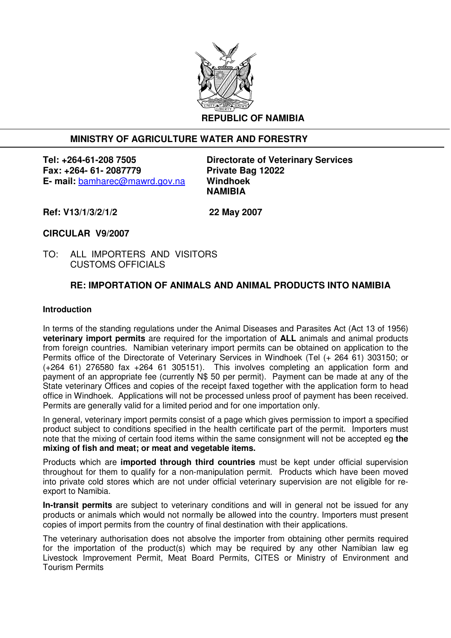

# **MINISTRY OF AGRICULTURE WATER AND FORESTRY**

**Tel: +264-61-208 7505 Directorate of Veterinary Services Fax: +264- 61- 2087779 Private Bag 12022 E- mail:** bamharec@mawrd.gov.na **Windhoek** 

 **NAMIBIA** 

**Ref: V13/1/3/2/1/2 22 May 2007** 

**CIRCULAR V9/2007** 

TO: ALL IMPORTERS AND VISITORS CUSTOMS OFFICIALS

# **RE: IMPORTATION OF ANIMALS AND ANIMAL PRODUCTS INTO NAMIBIA**

#### **Introduction**

In terms of the standing regulations under the Animal Diseases and Parasites Act (Act 13 of 1956) **veterinary import permits** are required for the importation of **ALL** animals and animal products from foreign countries. Namibian veterinary import permits can be obtained on application to the Permits office of the Directorate of Veterinary Services in Windhoek (Tel (+ 264 61) 303150; or (+264 61) 276580 fax +264 61 305151). This involves completing an application form and payment of an appropriate fee (currently N\$ 50 per permit). Payment can be made at any of the State veterinary Offices and copies of the receipt faxed together with the application form to head office in Windhoek. Applications will not be processed unless proof of payment has been received. Permits are generally valid for a limited period and for one importation only.

In general, veterinary import permits consist of a page which gives permission to import a specified product subject to conditions specified in the health certificate part of the permit. Importers must note that the mixing of certain food items within the same consignment will not be accepted eg **the mixing of fish and meat; or meat and vegetable items.**

Products which are **imported through third countries** must be kept under official supervision throughout for them to qualify for a non-manipulation permit. Products which have been moved into private cold stores which are not under official veterinary supervision are not eligible for reexport to Namibia.

**In-transit permits** are subject to veterinary conditions and will in general not be issued for any products or animals which would not normally be allowed into the country. Importers must present copies of import permits from the country of final destination with their applications.

The veterinary authorisation does not absolve the importer from obtaining other permits required for the importation of the product(s) which may be required by any other Namibian law eg Livestock Improvement Permit, Meat Board Permits, CITES or Ministry of Environment and Tourism Permits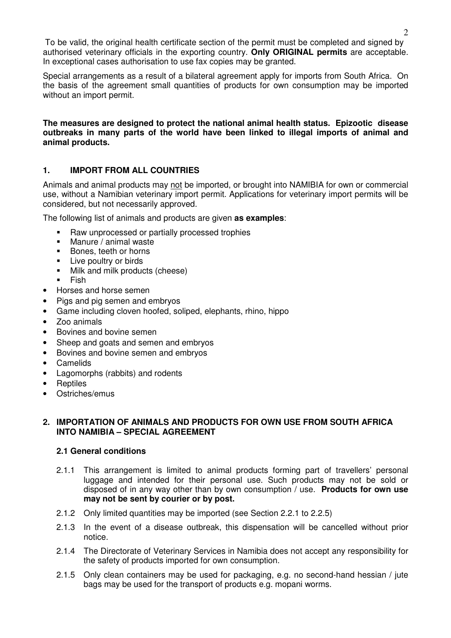To be valid, the original health certificate section of the permit must be completed and signed by authorised veterinary officials in the exporting country. **Only ORIGINAL permits** are acceptable. In exceptional cases authorisation to use fax copies may be granted.

Special arrangements as a result of a bilateral agreement apply for imports from South Africa. On the basis of the agreement small quantities of products for own consumption may be imported without an import permit.

**The measures are designed to protect the national animal health status. Epizootic disease outbreaks in many parts of the world have been linked to illegal imports of animal and animal products.** 

# **1. IMPORT FROM ALL COUNTRIES**

Animals and animal products may not be imported, or brought into NAMIBIA for own or commercial use, without a Namibian veterinary import permit. Applications for veterinary import permits will be considered, but not necessarily approved.

The following list of animals and products are given **as examples**:

- Raw unprocessed or partially processed trophies
- Manure / animal waste
- Bones, teeth or horns
- **Live poultry or birds**
- Milk and milk products (cheese)
- $Fish$
- Horses and horse semen
- Pigs and pig semen and embryos
- Game including cloven hoofed, soliped, elephants, rhino, hippo
- Zoo animals
- Bovines and bovine semen
- Sheep and goats and semen and embryos
- Bovines and bovine semen and embryos
- Camelids
- Lagomorphs (rabbits) and rodents
- Reptiles
- Ostriches/emus

#### **2. IMPORTATION OF ANIMALS AND PRODUCTS FOR OWN USE FROM SOUTH AFRICA INTO NAMIBIA – SPECIAL AGREEMENT**

## **2.1 General conditions**

- 2.1.1 This arrangement is limited to animal products forming part of travellers' personal luggage and intended for their personal use. Such products may not be sold or disposed of in any way other than by own consumption / use. **Products for own use may not be sent by courier or by post.**
- 2.1.2 Only limited quantities may be imported (see Section 2.2.1 to 2.2.5)
- 2.1.3 In the event of a disease outbreak, this dispensation will be cancelled without prior notice.
- 2.1.4 The Directorate of Veterinary Services in Namibia does not accept any responsibility for the safety of products imported for own consumption.
- 2.1.5 Only clean containers may be used for packaging, e.g. no second-hand hessian / jute bags may be used for the transport of products e.g. mopani worms.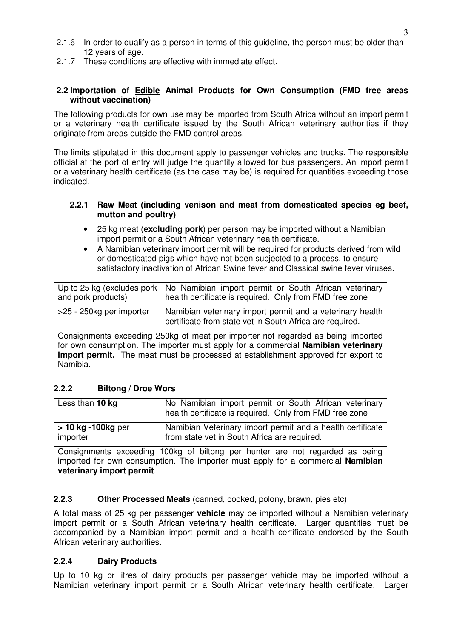- 2.1.6 In order to qualify as a person in terms of this guideline, the person must be older than 12 years of age.
- 2.1.7 These conditions are effective with immediate effect.

## **2.2 Importation of Edible Animal Products for Own Consumption (FMD free areas without vaccination)**

The following products for own use may be imported from South Africa without an import permit or a veterinary health certificate issued by the South African veterinary authorities if they originate from areas outside the FMD control areas.

The limits stipulated in this document apply to passenger vehicles and trucks. The responsible official at the port of entry will judge the quantity allowed for bus passengers. An import permit or a veterinary health certificate (as the case may be) is required for quantities exceeding those indicated.

#### **2.2.1 Raw Meat (including venison and meat from domesticated species eg beef, mutton and poultry)**

- 25 kg meat (**excluding pork**) per person may be imported without a Namibian import permit or a South African veterinary health certificate.
- A Namibian veterinary import permit will be required for products derived from wild or domesticated pigs which have not been subjected to a process, to ensure satisfactory inactivation of African Swine fever and Classical swine fever viruses.

| Up to 25 kg (excludes pork $\vert$<br>and pork products)                                                                                                                                                                                                               | No Namibian import permit or South African veterinary<br>health certificate is required. Only from FMD free zone      |
|------------------------------------------------------------------------------------------------------------------------------------------------------------------------------------------------------------------------------------------------------------------------|-----------------------------------------------------------------------------------------------------------------------|
| >25 - 250kg per importer                                                                                                                                                                                                                                               | Namibian veterinary import permit and a veterinary health<br>certificate from state vet in South Africa are required. |
| Consignments exceeding 250kg of meat per importer not regarded as being imported<br>for own consumption. The importer must apply for a commercial Namibian veterinary<br>import permit. The meat must be processed at establishment approved for export to<br>Namibia. |                                                                                                                       |

# **2.2.2 Biltong / Droe Wors**

| Less than 10 kg                                                                                                                                                                              | No Namibian import permit or South African veterinary<br>health certificate is required. Only from FMD free zone |
|----------------------------------------------------------------------------------------------------------------------------------------------------------------------------------------------|------------------------------------------------------------------------------------------------------------------|
| $> 10$ kg -100kg per<br>importer                                                                                                                                                             | Namibian Veterinary import permit and a health certificate<br>from state vet in South Africa are required.       |
| Consignments exceeding 100kg of biltong per hunter are not regarded as being<br>imported for own consumption. The importer must apply for a commercial Namibian<br>veterinary import permit. |                                                                                                                  |

## **2.2.3 Other Processed Meats** (canned, cooked, polony, brawn, pies etc)

A total mass of 25 kg per passenger **vehicle** may be imported without a Namibian veterinary import permit or a South African veterinary health certificate. Larger quantities must be accompanied by a Namibian import permit and a health certificate endorsed by the South African veterinary authorities.

## **2.2.4 Dairy Products**

Up to 10 kg or litres of dairy products per passenger vehicle may be imported without a Namibian veterinary import permit or a South African veterinary health certificate. Larger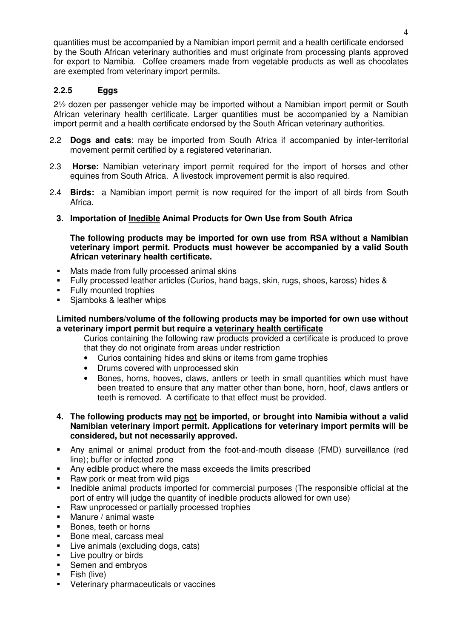quantities must be accompanied by a Namibian import permit and a health certificate endorsed by the South African veterinary authorities and must originate from processing plants approved for export to Namibia. Coffee creamers made from vegetable products as well as chocolates are exempted from veterinary import permits.

# **2.2.5 Eggs**

2½ dozen per passenger vehicle may be imported without a Namibian import permit or South African veterinary health certificate. Larger quantities must be accompanied by a Namibian import permit and a health certificate endorsed by the South African veterinary authorities.

- 2.2 **Dogs and cats**: may be imported from South Africa if accompanied by inter-territorial movement permit certified by a registered veterinarian.
- 2.3 **Horse:** Namibian veterinary import permit required for the import of horses and other equines from South Africa. A livestock improvement permit is also required.
- 2.4 **Birds:** a Namibian import permit is now required for the import of all birds from South Africa.
	- **3. Importation of Inedible Animal Products for Own Use from South Africa**

 **The following products may be imported for own use from RSA without a Namibian veterinary import permit. Products must however be accompanied by a valid South African veterinary health certificate.** 

- Mats made from fully processed animal skins<br>Fully processed leather articles (Curios, band
- Fully processed leather articles (Curios, hand bags, skin, rugs, shoes, kaross) hides &
- **Fully mounted trophies**
- Sjamboks & leather whips

## **Limited numbers/volume of the following products may be imported for own use without a veterinary import permit but require a veterinary health certificate**

Curios containing the following raw products provided a certificate is produced to prove that they do not originate from areas under restriction

- Curios containing hides and skins or items from game trophies
- Drums covered with unprocessed skin
- Bones, horns, hooves, claws, antlers or teeth in small quantities which must have been treated to ensure that any matter other than bone, horn, hoof, claws antlers or teeth is removed. A certificate to that effect must be provided.
- **4. The following products may not be imported, or brought into Namibia without a valid Namibian veterinary import permit. Applications for veterinary import permits will be considered, but not necessarily approved.**
- Any animal or animal product from the foot-and-mouth disease (FMD) surveillance (red line); buffer or infected zone
- Any edible product where the mass exceeds the limits prescribed
- Raw pork or meat from wild pigs
- **Inedible animal products imported for commercial purposes (The responsible official at the** port of entry will judge the quantity of inedible products allowed for own use)
- **Raw unprocessed or partially processed trophies**
- Manure / animal waste
- Bones, teeth or horns
- **Bone meal, carcass meal**
- **Live animals (excluding dogs, cats)**
- **Live poultry or birds**
- Semen and embryos
- $\blacksquare$  Fish (live)
- **•** Veterinary pharmaceuticals or vaccines